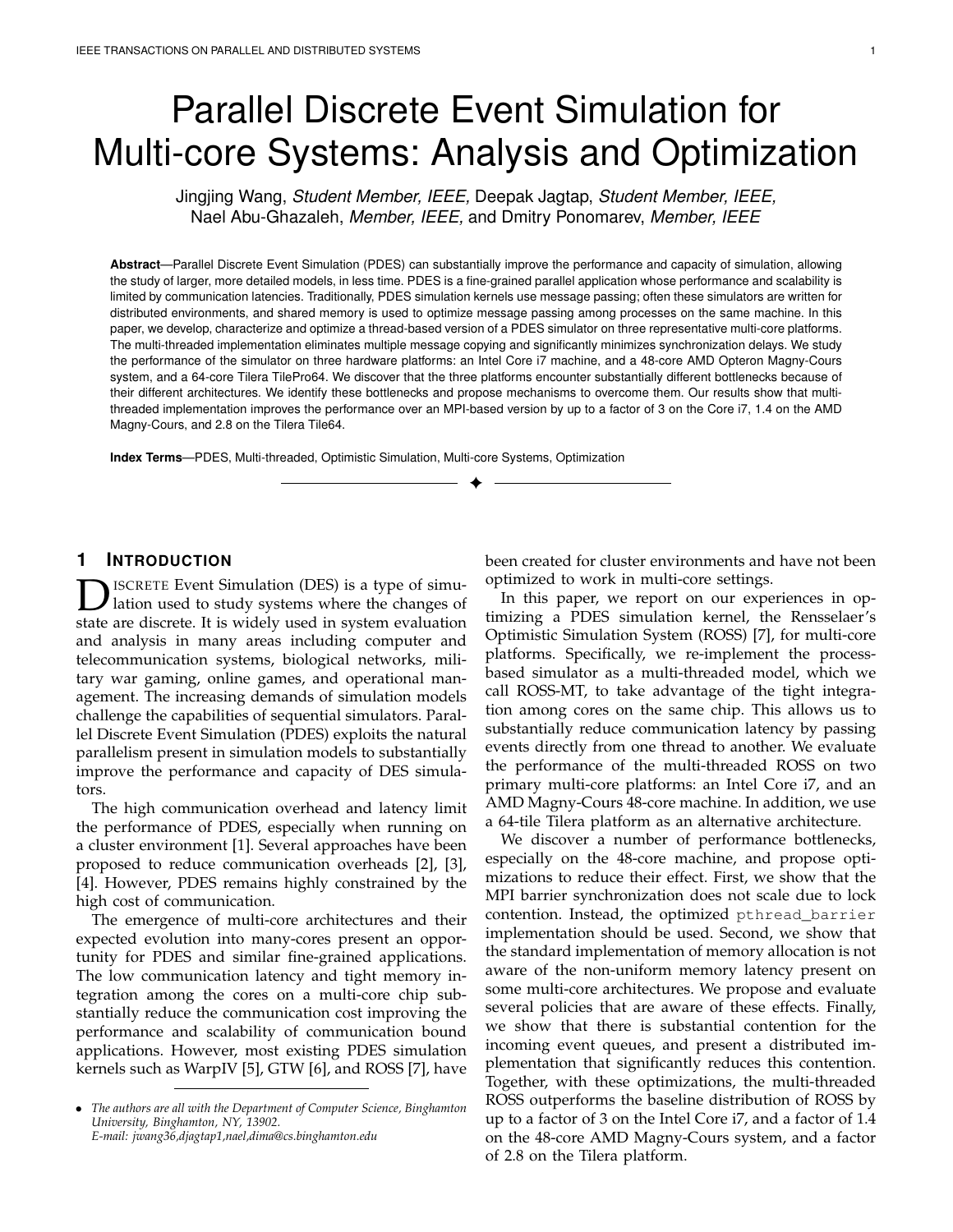# Parallel Discrete Event Simulation for Multi-core Systems: Analysis and Optimization

Jingjing Wang, *Student Member, IEEE,* Deepak Jagtap, *Student Member, IEEE,* Nael Abu-Ghazaleh, *Member, IEEE,* and Dmitry Ponomarev, *Member, IEEE*

**Abstract**—Parallel Discrete Event Simulation (PDES) can substantially improve the performance and capacity of simulation, allowing the study of larger, more detailed models, in less time. PDES is a fine-grained parallel application whose performance and scalability is limited by communication latencies. Traditionally, PDES simulation kernels use message passing; often these simulators are written for distributed environments, and shared memory is used to optimize message passing among processes on the same machine. In this paper, we develop, characterize and optimize a thread-based version of a PDES simulator on three representative multi-core platforms. The multi-threaded implementation eliminates multiple message copying and significantly minimizes synchronization delays. We study the performance of the simulator on three hardware platforms: an Intel Core i7 machine, and a 48-core AMD Opteron Magny-Cours system, and a 64-core Tilera TilePro64. We discover that the three platforms encounter substantially different bottlenecks because of their different architectures. We identify these bottlenecks and propose mechanisms to overcome them. Our results show that multithreaded implementation improves the performance over an MPI-based version by up to a factor of 3 on the Core i7, 1.4 on the AMD Magny-Cours, and 2.8 on the Tilera Tile64.

✦

**Index Terms**—PDES, Multi-threaded, Optimistic Simulation, Multi-core Systems, Optimization

## **1 INTRODUCTION**

**DES** ISCRETE Event Simulation (DES) is a type of simulation used to study systems where the changes of state are discrete. It is widely used in system evaluation ISCRETE Event Simulation (DES) is a type of simulation used to study systems where the changes of and analysis in many areas including computer and telecommunication systems, biological networks, military war gaming, online games, and operational management. The increasing demands of simulation models challenge the capabilities of sequential simulators. Parallel Discrete Event Simulation (PDES) exploits the natural parallelism present in simulation models to substantially improve the performance and capacity of DES simulators.

The high communication overhead and latency limit the performance of PDES, especially when running on a cluster environment [1]. Several approaches have been proposed to reduce communication overheads [2], [3], [4]. However, PDES remains highly constrained by the high cost of communication.

The emergence of multi-core architectures and their expected evolution into many-cores present an opportunity for PDES and similar fine-grained applications. The low communication latency and tight memory integration among the cores on a multi-core chip substantially reduce the communication cost improving the performance and scalability of communication bound applications. However, most existing PDES simulation kernels such as WarpIV [5], GTW [6], and ROSS [7], have been created for cluster environments and have not been optimized to work in multi-core settings.

In this paper, we report on our experiences in optimizing a PDES simulation kernel, the Rensselaer's Optimistic Simulation System (ROSS) [7], for multi-core platforms. Specifically, we re-implement the processbased simulator as a multi-threaded model, which we call ROSS-MT, to take advantage of the tight integration among cores on the same chip. This allows us to substantially reduce communication latency by passing events directly from one thread to another. We evaluate the performance of the multi-threaded ROSS on two primary multi-core platforms: an Intel Core i7, and an AMD Magny-Cours 48-core machine. In addition, we use a 64-tile Tilera platform as an alternative architecture.

We discover a number of performance bottlenecks, especially on the 48-core machine, and propose optimizations to reduce their effect. First, we show that the MPI barrier synchronization does not scale due to lock contention. Instead, the optimized pthread\_barrier implementation should be used. Second, we show that the standard implementation of memory allocation is not aware of the non-uniform memory latency present on some multi-core architectures. We propose and evaluate several policies that are aware of these effects. Finally, we show that there is substantial contention for the incoming event queues, and present a distributed implementation that significantly reduces this contention. Together, with these optimizations, the multi-threaded ROSS outperforms the baseline distribution of ROSS by up to a factor of 3 on the Intel Core i7, and a factor of 1.4 on the 48-core AMD Magny-Cours system, and a factor of 2.8 on the Tilera platform.

<sup>•</sup> *The authors are all with the Department of Computer Science, Binghamton University, Binghamton, NY, 13902. E-mail: jwang36,djagtap1,nael,dima@cs.binghamton.edu*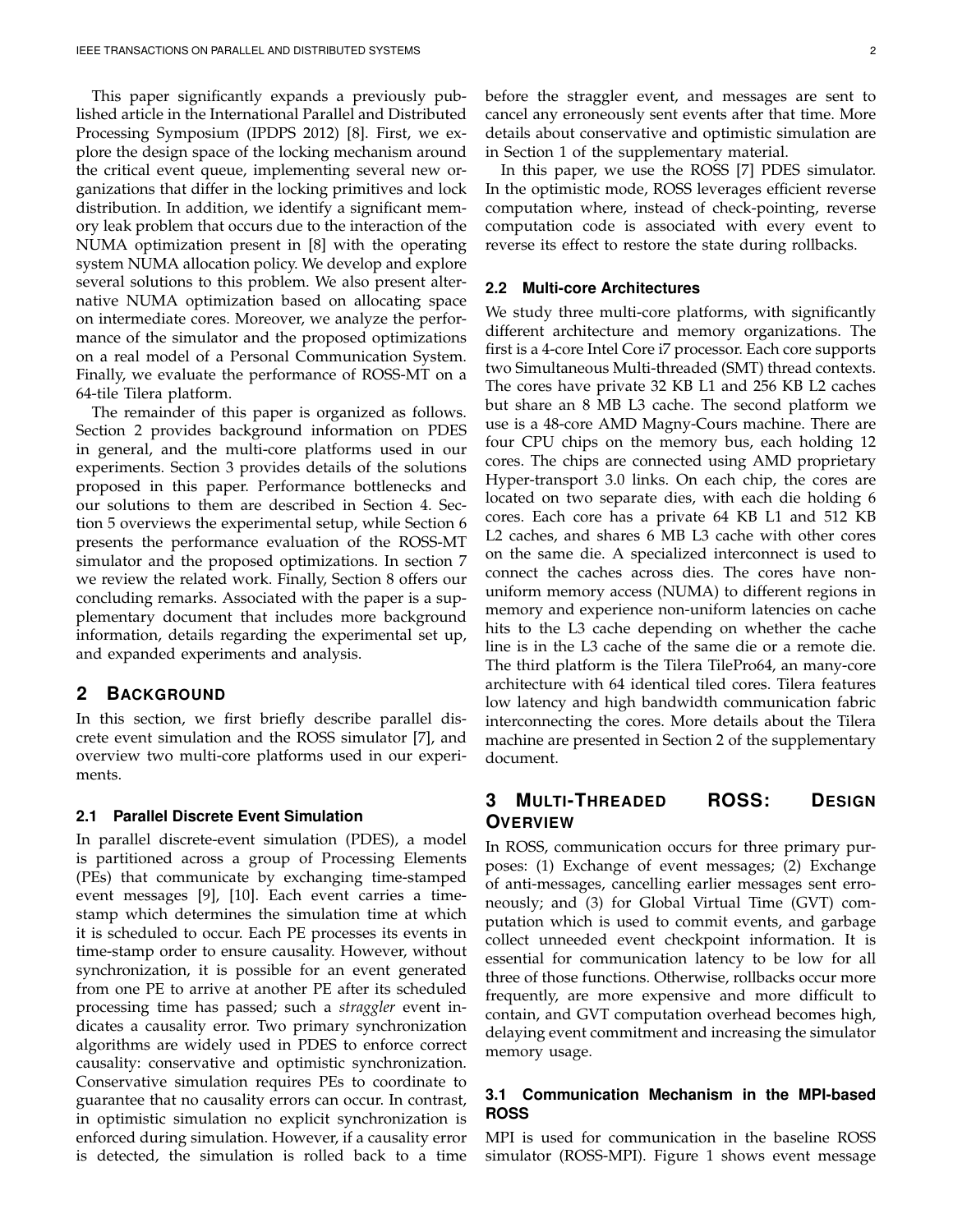This paper significantly expands a previously published article in the International Parallel and Distributed Processing Symposium (IPDPS 2012) [8]. First, we explore the design space of the locking mechanism around the critical event queue, implementing several new organizations that differ in the locking primitives and lock distribution. In addition, we identify a significant memory leak problem that occurs due to the interaction of the NUMA optimization present in [8] with the operating system NUMA allocation policy. We develop and explore several solutions to this problem. We also present alternative NUMA optimization based on allocating space on intermediate cores. Moreover, we analyze the performance of the simulator and the proposed optimizations on a real model of a Personal Communication System. Finally, we evaluate the performance of ROSS-MT on a 64-tile Tilera platform.

The remainder of this paper is organized as follows. Section 2 provides background information on PDES in general, and the multi-core platforms used in our experiments. Section 3 provides details of the solutions proposed in this paper. Performance bottlenecks and our solutions to them are described in Section 4. Section 5 overviews the experimental setup, while Section 6 presents the performance evaluation of the ROSS-MT simulator and the proposed optimizations. In section 7 we review the related work. Finally, Section 8 offers our concluding remarks. Associated with the paper is a supplementary document that includes more background information, details regarding the experimental set up, and expanded experiments and analysis.

## **2 BACKGROUND**

In this section, we first briefly describe parallel discrete event simulation and the ROSS simulator [7], and overview two multi-core platforms used in our experiments.

#### **2.1 Parallel Discrete Event Simulation**

In parallel discrete-event simulation (PDES), a model is partitioned across a group of Processing Elements (PEs) that communicate by exchanging time-stamped event messages [9], [10]. Each event carries a timestamp which determines the simulation time at which it is scheduled to occur. Each PE processes its events in time-stamp order to ensure causality. However, without synchronization, it is possible for an event generated from one PE to arrive at another PE after its scheduled processing time has passed; such a *straggler* event indicates a causality error. Two primary synchronization algorithms are widely used in PDES to enforce correct causality: conservative and optimistic synchronization. Conservative simulation requires PEs to coordinate to guarantee that no causality errors can occur. In contrast, in optimistic simulation no explicit synchronization is enforced during simulation. However, if a causality error is detected, the simulation is rolled back to a time

before the straggler event, and messages are sent to cancel any erroneously sent events after that time. More details about conservative and optimistic simulation are in Section 1 of the supplementary material.

In this paper, we use the ROSS [7] PDES simulator. In the optimistic mode, ROSS leverages efficient reverse computation where, instead of check-pointing, reverse computation code is associated with every event to reverse its effect to restore the state during rollbacks.

## **2.2 Multi-core Architectures**

We study three multi-core platforms, with significantly different architecture and memory organizations. The first is a 4-core Intel Core i7 processor. Each core supports two Simultaneous Multi-threaded (SMT) thread contexts. The cores have private 32 KB L1 and 256 KB L2 caches but share an 8 MB L3 cache. The second platform we use is a 48-core AMD Magny-Cours machine. There are four CPU chips on the memory bus, each holding 12 cores. The chips are connected using AMD proprietary Hyper-transport 3.0 links. On each chip, the cores are located on two separate dies, with each die holding 6 cores. Each core has a private 64 KB L1 and 512 KB L2 caches, and shares 6 MB L3 cache with other cores on the same die. A specialized interconnect is used to connect the caches across dies. The cores have nonuniform memory access (NUMA) to different regions in memory and experience non-uniform latencies on cache hits to the L3 cache depending on whether the cache line is in the L3 cache of the same die or a remote die. The third platform is the Tilera TilePro64, an many-core architecture with 64 identical tiled cores. Tilera features low latency and high bandwidth communication fabric interconnecting the cores. More details about the Tilera machine are presented in Section 2 of the supplementary document.

## **3 MULTI-THREADED ROSS: DESIGN OVERVIEW**

In ROSS, communication occurs for three primary purposes: (1) Exchange of event messages; (2) Exchange of anti-messages, cancelling earlier messages sent erroneously; and (3) for Global Virtual Time (GVT) computation which is used to commit events, and garbage collect unneeded event checkpoint information. It is essential for communication latency to be low for all three of those functions. Otherwise, rollbacks occur more frequently, are more expensive and more difficult to contain, and GVT computation overhead becomes high, delaying event commitment and increasing the simulator memory usage.

## **3.1 Communication Mechanism in the MPI-based ROSS**

MPI is used for communication in the baseline ROSS simulator (ROSS-MPI). Figure 1 shows event message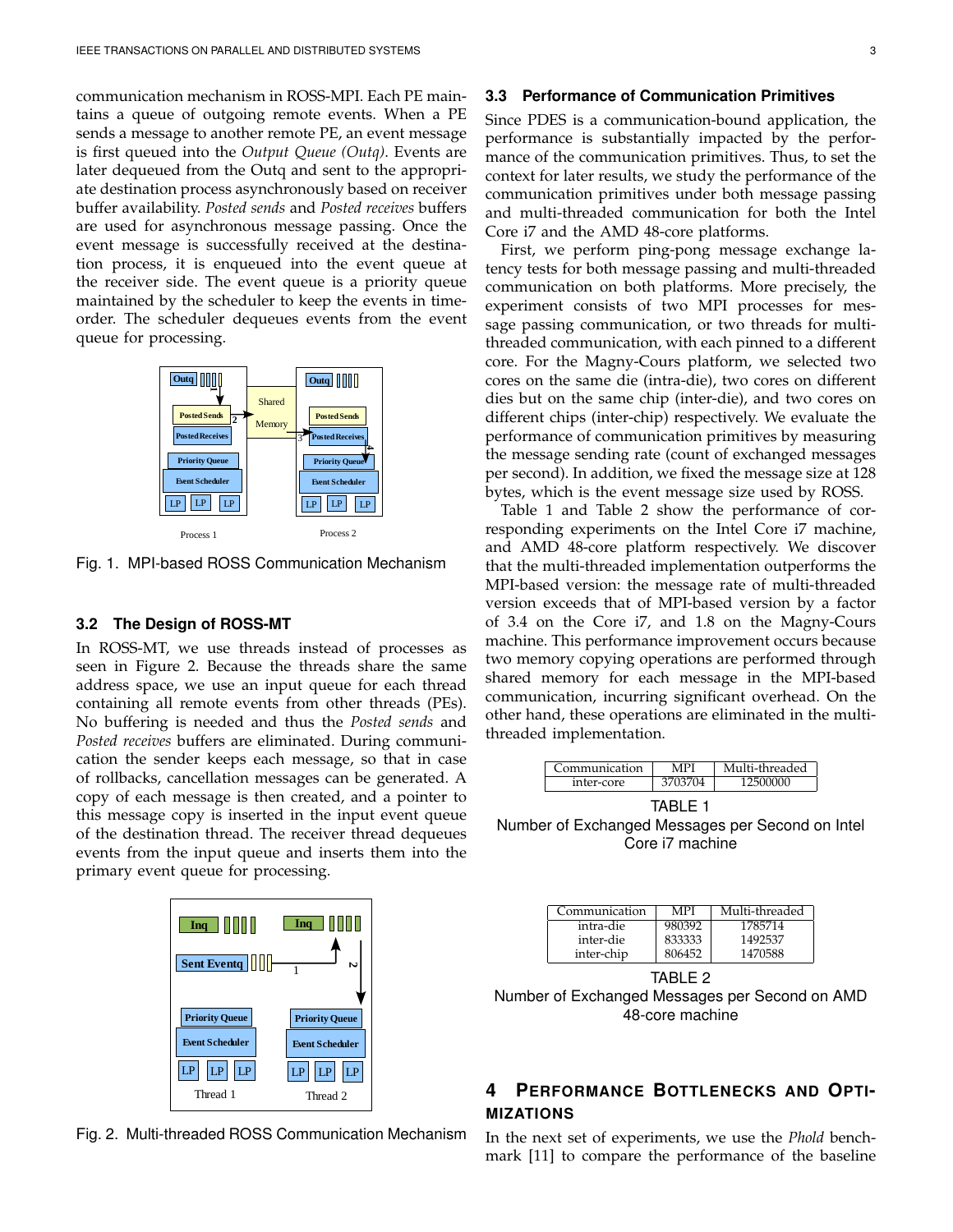communication mechanism in ROSS-MPI. Each PE maintains a queue of outgoing remote events. When a PE sends a message to another remote PE, an event message is first queued into the *Output Queue (Outq)*. Events are later dequeued from the Outq and sent to the appropriate destination process asynchronously based on receiver buffer availability. *Posted sends* and *Posted receives* buffers are used for asynchronous message passing. Once the event message is successfully received at the destination process, it is enqueued into the event queue at the receiver side. The event queue is a priority queue maintained by the scheduler to keep the events in timeorder. The scheduler dequeues events from the event queue for processing.



Fig. 1. MPI-based ROSS Communication Mechanism

#### **3.2 The Design of ROSS-MT**

In ROSS-MT, we use threads instead of processes as seen in Figure 2. Because the threads share the same address space, we use an input queue for each thread containing all remote events from other threads (PEs). No buffering is needed and thus the *Posted sends* and *Posted receives* buffers are eliminated. During communication the sender keeps each message, so that in case of rollbacks, cancellation messages can be generated. A copy of each message is then created, and a pointer to this message copy is inserted in the input event queue of the destination thread. The receiver thread dequeues events from the input queue and inserts them into the primary event queue for processing.



Fig. 2. Multi-threaded ROSS Communication Mechanism

#### **3.3 Performance of Communication Primitives**

Since PDES is a communication-bound application, the performance is substantially impacted by the performance of the communication primitives. Thus, to set the context for later results, we study the performance of the communication primitives under both message passing and multi-threaded communication for both the Intel Core i7 and the AMD 48-core platforms.

First, we perform ping-pong message exchange latency tests for both message passing and multi-threaded communication on both platforms. More precisely, the experiment consists of two MPI processes for message passing communication, or two threads for multithreaded communication, with each pinned to a different core. For the Magny-Cours platform, we selected two cores on the same die (intra-die), two cores on different dies but on the same chip (inter-die), and two cores on different chips (inter-chip) respectively. We evaluate the performance of communication primitives by measuring the message sending rate (count of exchanged messages per second). In addition, we fixed the message size at 128 bytes, which is the event message size used by ROSS.

Table 1 and Table 2 show the performance of corresponding experiments on the Intel Core i7 machine, and AMD 48-core platform respectively. We discover that the multi-threaded implementation outperforms the MPI-based version: the message rate of multi-threaded version exceeds that of MPI-based version by a factor of 3.4 on the Core i7, and 1.8 on the Magny-Cours machine. This performance improvement occurs because two memory copying operations are performed through shared memory for each message in the MPI-based communication, incurring significant overhead. On the other hand, these operations are eliminated in the multithreaded implementation.

| `ommunication | lti-threaded |
|---------------|--------------|
| inter-core    | നവ           |

TABLE 1 Number of Exchanged Messages per Second on Intel Core i7 machine

| Communication | MPI    | Multi-threaded |
|---------------|--------|----------------|
| intra-die     | 980392 | 1785714        |
| inter-die     | 833333 | 1492537        |
| inter-chip    | 806452 | 1470588        |



# **4 PERFORMANCE BOTTLENECKS AND OPTI-MIZATIONS**

In the next set of experiments, we use the *Phold* benchmark [11] to compare the performance of the baseline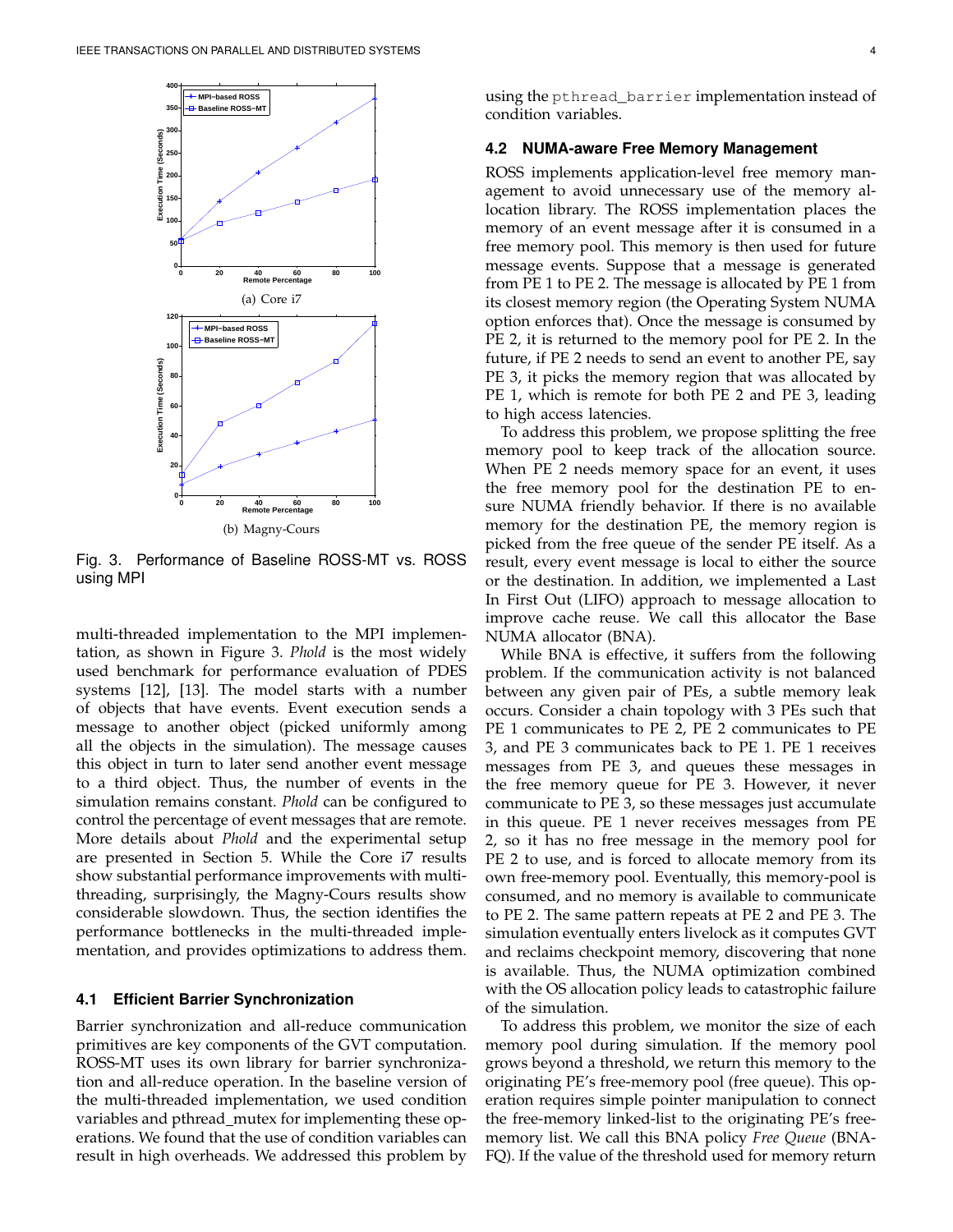

Fig. 3. Performance of Baseline ROSS-MT vs. ROSS using MPI

multi-threaded implementation to the MPI implementation, as shown in Figure 3. *Phold* is the most widely used benchmark for performance evaluation of PDES systems [12], [13]. The model starts with a number of objects that have events. Event execution sends a message to another object (picked uniformly among all the objects in the simulation). The message causes this object in turn to later send another event message to a third object. Thus, the number of events in the simulation remains constant. *Phold* can be configured to control the percentage of event messages that are remote. More details about *Phold* and the experimental setup are presented in Section 5. While the Core i7 results show substantial performance improvements with multithreading, surprisingly, the Magny-Cours results show considerable slowdown. Thus, the section identifies the performance bottlenecks in the multi-threaded implementation, and provides optimizations to address them.

#### **4.1 Efficient Barrier Synchronization**

Barrier synchronization and all-reduce communication primitives are key components of the GVT computation. ROSS-MT uses its own library for barrier synchronization and all-reduce operation. In the baseline version of the multi-threaded implementation, we used condition variables and pthread\_mutex for implementing these operations. We found that the use of condition variables can result in high overheads. We addressed this problem by

using the pthread\_barrier implementation instead of condition variables.

#### **4.2 NUMA-aware Free Memory Management**

ROSS implements application-level free memory management to avoid unnecessary use of the memory allocation library. The ROSS implementation places the memory of an event message after it is consumed in a free memory pool. This memory is then used for future message events. Suppose that a message is generated from PE 1 to PE 2. The message is allocated by PE 1 from its closest memory region (the Operating System NUMA option enforces that). Once the message is consumed by PE 2, it is returned to the memory pool for PE 2. In the future, if PE 2 needs to send an event to another PE, say PE 3, it picks the memory region that was allocated by PE 1, which is remote for both PE 2 and PE 3, leading to high access latencies.

To address this problem, we propose splitting the free memory pool to keep track of the allocation source. When PE 2 needs memory space for an event, it uses the free memory pool for the destination PE to ensure NUMA friendly behavior. If there is no available memory for the destination PE, the memory region is picked from the free queue of the sender PE itself. As a result, every event message is local to either the source or the destination. In addition, we implemented a Last In First Out (LIFO) approach to message allocation to improve cache reuse. We call this allocator the Base NUMA allocator (BNA).

While BNA is effective, it suffers from the following problem. If the communication activity is not balanced between any given pair of PEs, a subtle memory leak occurs. Consider a chain topology with 3 PEs such that PE 1 communicates to PE 2, PE 2 communicates to PE 3, and PE 3 communicates back to PE 1. PE 1 receives messages from PE 3, and queues these messages in the free memory queue for PE 3. However, it never communicate to PE 3, so these messages just accumulate in this queue. PE 1 never receives messages from PE 2, so it has no free message in the memory pool for PE 2 to use, and is forced to allocate memory from its own free-memory pool. Eventually, this memory-pool is consumed, and no memory is available to communicate to PE 2. The same pattern repeats at PE 2 and PE 3. The simulation eventually enters livelock as it computes GVT and reclaims checkpoint memory, discovering that none is available. Thus, the NUMA optimization combined with the OS allocation policy leads to catastrophic failure of the simulation.

To address this problem, we monitor the size of each memory pool during simulation. If the memory pool grows beyond a threshold, we return this memory to the originating PE's free-memory pool (free queue). This operation requires simple pointer manipulation to connect the free-memory linked-list to the originating PE's freememory list. We call this BNA policy *Free Queue* (BNA-FQ). If the value of the threshold used for memory return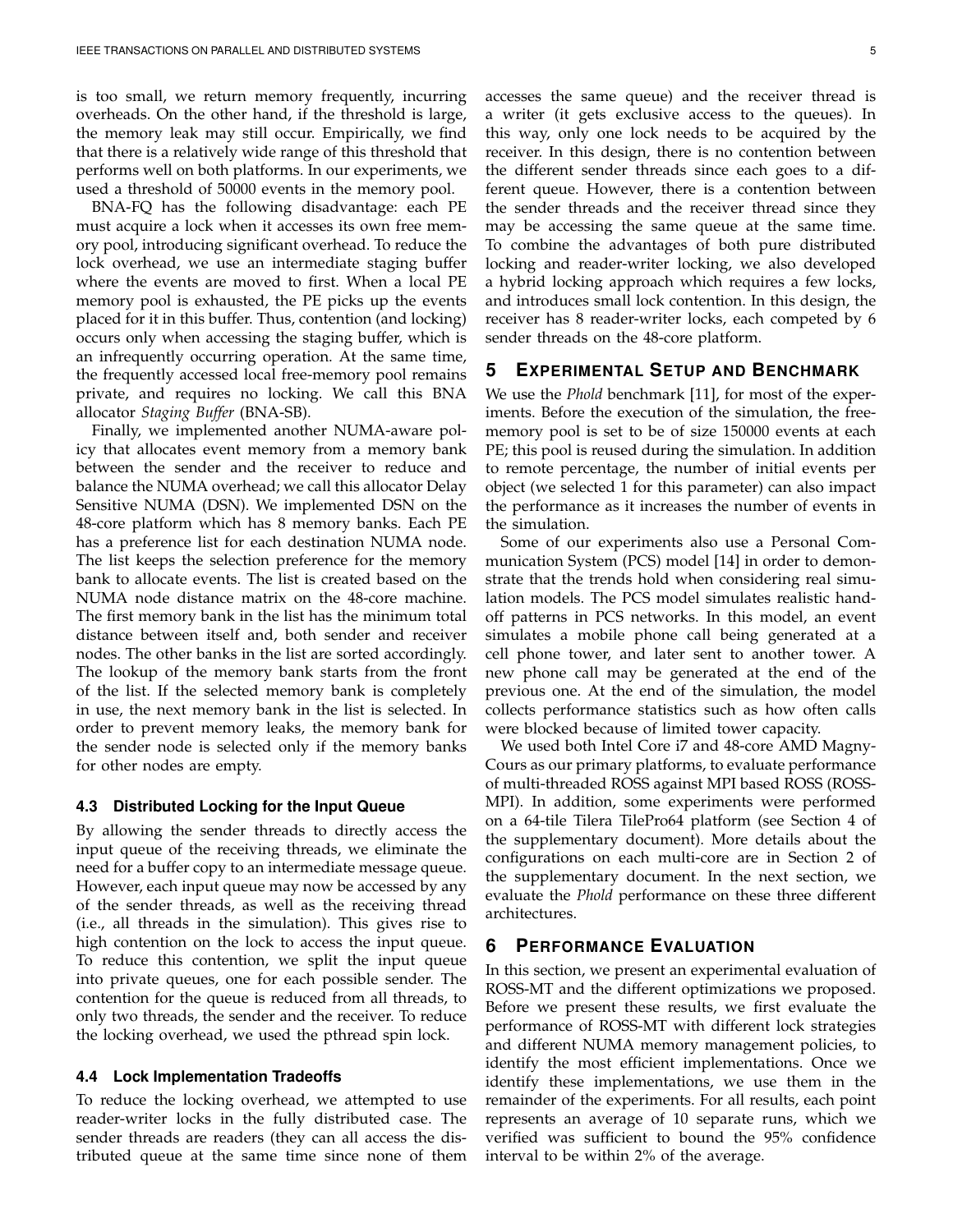is too small, we return memory frequently, incurring overheads. On the other hand, if the threshold is large, the memory leak may still occur. Empirically, we find that there is a relatively wide range of this threshold that performs well on both platforms. In our experiments, we used a threshold of 50000 events in the memory pool.

BNA-FQ has the following disadvantage: each PE must acquire a lock when it accesses its own free memory pool, introducing significant overhead. To reduce the lock overhead, we use an intermediate staging buffer where the events are moved to first. When a local PE memory pool is exhausted, the PE picks up the events placed for it in this buffer. Thus, contention (and locking) occurs only when accessing the staging buffer, which is an infrequently occurring operation. At the same time, the frequently accessed local free-memory pool remains private, and requires no locking. We call this BNA allocator *Staging Buffer* (BNA-SB).

Finally, we implemented another NUMA-aware policy that allocates event memory from a memory bank between the sender and the receiver to reduce and balance the NUMA overhead; we call this allocator Delay Sensitive NUMA (DSN). We implemented DSN on the 48-core platform which has 8 memory banks. Each PE has a preference list for each destination NUMA node. The list keeps the selection preference for the memory bank to allocate events. The list is created based on the NUMA node distance matrix on the 48-core machine. The first memory bank in the list has the minimum total distance between itself and, both sender and receiver nodes. The other banks in the list are sorted accordingly. The lookup of the memory bank starts from the front of the list. If the selected memory bank is completely in use, the next memory bank in the list is selected. In order to prevent memory leaks, the memory bank for the sender node is selected only if the memory banks for other nodes are empty.

#### **4.3 Distributed Locking for the Input Queue**

By allowing the sender threads to directly access the input queue of the receiving threads, we eliminate the need for a buffer copy to an intermediate message queue. However, each input queue may now be accessed by any of the sender threads, as well as the receiving thread (i.e., all threads in the simulation). This gives rise to high contention on the lock to access the input queue. To reduce this contention, we split the input queue into private queues, one for each possible sender. The contention for the queue is reduced from all threads, to only two threads, the sender and the receiver. To reduce the locking overhead, we used the pthread spin lock.

## **4.4 Lock Implementation Tradeoffs**

To reduce the locking overhead, we attempted to use reader-writer locks in the fully distributed case. The sender threads are readers (they can all access the distributed queue at the same time since none of them accesses the same queue) and the receiver thread is a writer (it gets exclusive access to the queues). In this way, only one lock needs to be acquired by the receiver. In this design, there is no contention between the different sender threads since each goes to a different queue. However, there is a contention between the sender threads and the receiver thread since they may be accessing the same queue at the same time. To combine the advantages of both pure distributed locking and reader-writer locking, we also developed a hybrid locking approach which requires a few locks, and introduces small lock contention. In this design, the receiver has 8 reader-writer locks, each competed by 6 sender threads on the 48-core platform.

## **5 EXPERIMENTAL SETUP AND BENCHMARK**

We use the *Phold* benchmark [11], for most of the experiments. Before the execution of the simulation, the freememory pool is set to be of size 150000 events at each PE; this pool is reused during the simulation. In addition to remote percentage, the number of initial events per object (we selected 1 for this parameter) can also impact the performance as it increases the number of events in the simulation.

Some of our experiments also use a Personal Communication System (PCS) model [14] in order to demonstrate that the trends hold when considering real simulation models. The PCS model simulates realistic handoff patterns in PCS networks. In this model, an event simulates a mobile phone call being generated at a cell phone tower, and later sent to another tower. A new phone call may be generated at the end of the previous one. At the end of the simulation, the model collects performance statistics such as how often calls were blocked because of limited tower capacity.

We used both Intel Core i7 and 48-core AMD Magny-Cours as our primary platforms, to evaluate performance of multi-threaded ROSS against MPI based ROSS (ROSS-MPI). In addition, some experiments were performed on a 64-tile Tilera TilePro64 platform (see Section 4 of the supplementary document). More details about the configurations on each multi-core are in Section 2 of the supplementary document. In the next section, we evaluate the *Phold* performance on these three different architectures.

## **6 PERFORMANCE EVALUATION**

In this section, we present an experimental evaluation of ROSS-MT and the different optimizations we proposed. Before we present these results, we first evaluate the performance of ROSS-MT with different lock strategies and different NUMA memory management policies, to identify the most efficient implementations. Once we identify these implementations, we use them in the remainder of the experiments. For all results, each point represents an average of 10 separate runs, which we verified was sufficient to bound the 95% confidence interval to be within 2% of the average.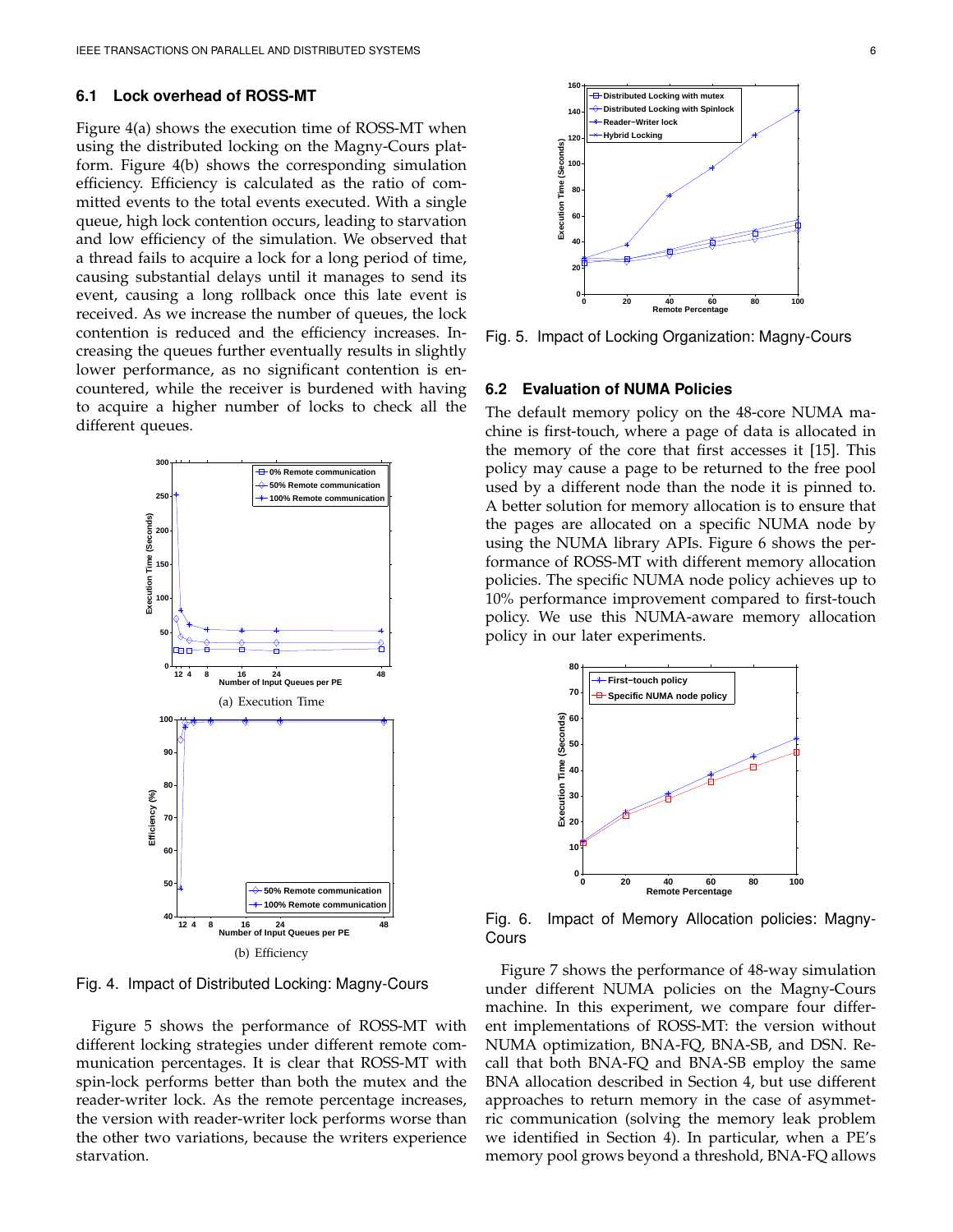#### **6.1 Lock overhead of ROSS-MT**

Figure 4(a) shows the execution time of ROSS-MT when using the distributed locking on the Magny-Cours platform. Figure 4(b) shows the corresponding simulation efficiency. Efficiency is calculated as the ratio of committed events to the total events executed. With a single queue, high lock contention occurs, leading to starvation and low efficiency of the simulation. We observed that a thread fails to acquire a lock for a long period of time, causing substantial delays until it manages to send its event, causing a long rollback once this late event is received. As we increase the number of queues, the lock contention is reduced and the efficiency increases. Increasing the queues further eventually results in slightly lower performance, as no significant contention is encountered, while the receiver is burdened with having to acquire a higher number of locks to check all the different queues.



Fig. 4. Impact of Distributed Locking: Magny-Cours

Figure 5 shows the performance of ROSS-MT with different locking strategies under different remote communication percentages. It is clear that ROSS-MT with spin-lock performs better than both the mutex and the reader-writer lock. As the remote percentage increases, the version with reader-writer lock performs worse than the other two variations, because the writers experience starvation.



Fig. 5. Impact of Locking Organization: Magny-Cours

#### **6.2 Evaluation of NUMA Policies**

The default memory policy on the 48-core NUMA machine is first-touch, where a page of data is allocated in the memory of the core that first accesses it [15]. This policy may cause a page to be returned to the free pool used by a different node than the node it is pinned to. A better solution for memory allocation is to ensure that the pages are allocated on a specific NUMA node by using the NUMA library APIs. Figure 6 shows the performance of ROSS-MT with different memory allocation policies. The specific NUMA node policy achieves up to 10% performance improvement compared to first-touch policy. We use this NUMA-aware memory allocation policy in our later experiments.



Fig. 6. Impact of Memory Allocation policies: Magny-Cours

Figure 7 shows the performance of 48-way simulation under different NUMA policies on the Magny-Cours machine. In this experiment, we compare four different implementations of ROSS-MT: the version without NUMA optimization, BNA-FQ, BNA-SB, and DSN. Recall that both BNA-FQ and BNA-SB employ the same BNA allocation described in Section 4, but use different approaches to return memory in the case of asymmetric communication (solving the memory leak problem we identified in Section 4). In particular, when a PE's memory pool grows beyond a threshold, BNA-FQ allows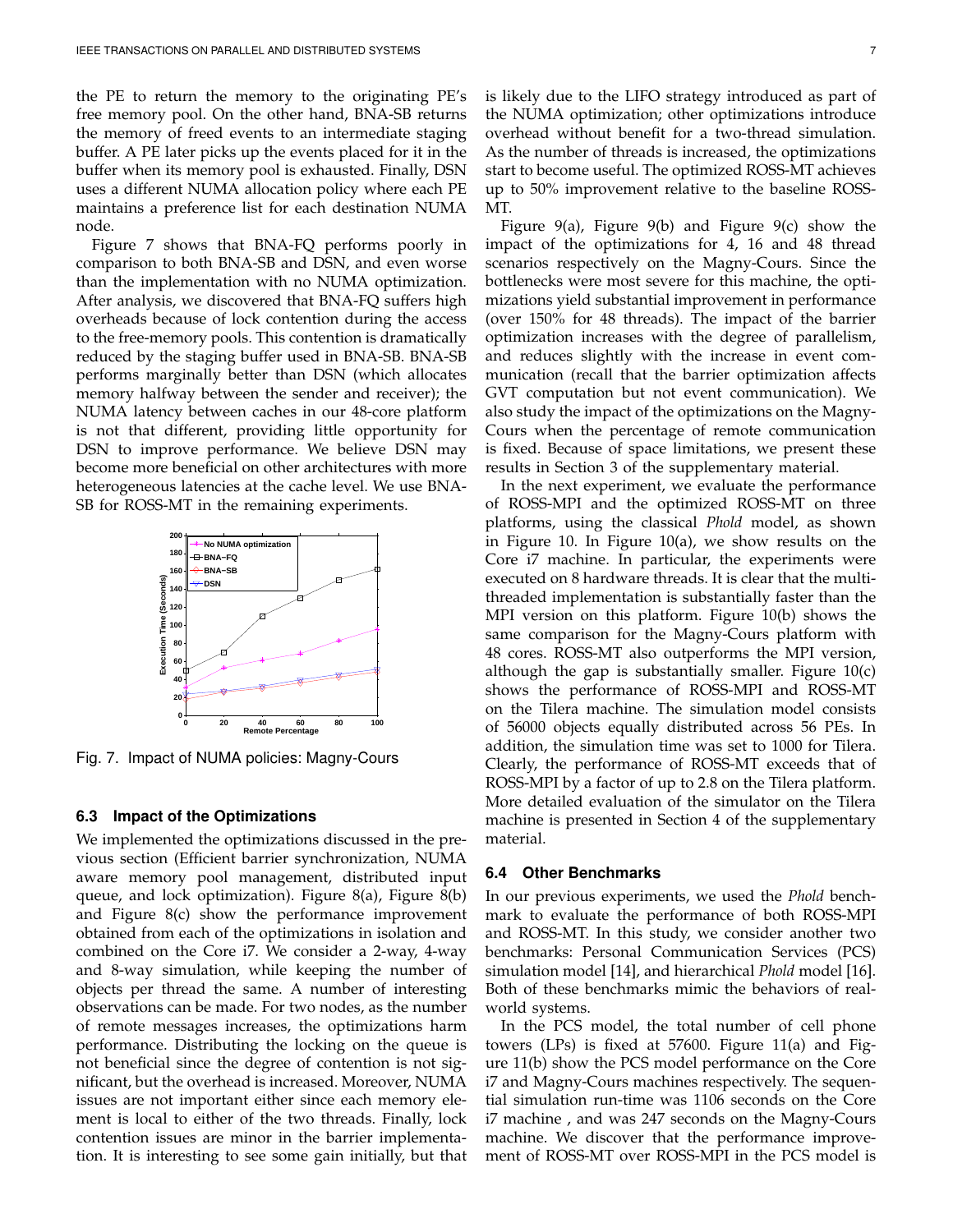the PE to return the memory to the originating PE's free memory pool. On the other hand, BNA-SB returns the memory of freed events to an intermediate staging buffer. A PE later picks up the events placed for it in the buffer when its memory pool is exhausted. Finally, DSN uses a different NUMA allocation policy where each PE maintains a preference list for each destination NUMA node.

Figure 7 shows that BNA-FQ performs poorly in comparison to both BNA-SB and DSN, and even worse than the implementation with no NUMA optimization. After analysis, we discovered that BNA-FQ suffers high overheads because of lock contention during the access to the free-memory pools. This contention is dramatically reduced by the staging buffer used in BNA-SB. BNA-SB performs marginally better than DSN (which allocates memory halfway between the sender and receiver); the NUMA latency between caches in our 48-core platform is not that different, providing little opportunity for DSN to improve performance. We believe DSN may become more beneficial on other architectures with more heterogeneous latencies at the cache level. We use BNA-SB for ROSS-MT in the remaining experiments.



Fig. 7. Impact of NUMA policies: Magny-Cours

#### **6.3 Impact of the Optimizations**

We implemented the optimizations discussed in the previous section (Efficient barrier synchronization, NUMA aware memory pool management, distributed input queue, and lock optimization). Figure 8(a), Figure 8(b) and Figure 8(c) show the performance improvement obtained from each of the optimizations in isolation and combined on the Core i7. We consider a 2-way, 4-way and 8-way simulation, while keeping the number of objects per thread the same. A number of interesting observations can be made. For two nodes, as the number of remote messages increases, the optimizations harm performance. Distributing the locking on the queue is not beneficial since the degree of contention is not significant, but the overhead is increased. Moreover, NUMA issues are not important either since each memory element is local to either of the two threads. Finally, lock contention issues are minor in the barrier implementation. It is interesting to see some gain initially, but that is likely due to the LIFO strategy introduced as part of the NUMA optimization; other optimizations introduce overhead without benefit for a two-thread simulation. As the number of threads is increased, the optimizations start to become useful. The optimized ROSS-MT achieves up to 50% improvement relative to the baseline ROSS-MT.

Figure 9(a), Figure 9(b) and Figure 9(c) show the impact of the optimizations for 4, 16 and 48 thread scenarios respectively on the Magny-Cours. Since the bottlenecks were most severe for this machine, the optimizations yield substantial improvement in performance (over 150% for 48 threads). The impact of the barrier optimization increases with the degree of parallelism, and reduces slightly with the increase in event communication (recall that the barrier optimization affects GVT computation but not event communication). We also study the impact of the optimizations on the Magny-Cours when the percentage of remote communication is fixed. Because of space limitations, we present these results in Section 3 of the supplementary material.

In the next experiment, we evaluate the performance of ROSS-MPI and the optimized ROSS-MT on three platforms, using the classical *Phold* model, as shown in Figure 10. In Figure 10(a), we show results on the Core i7 machine. In particular, the experiments were executed on 8 hardware threads. It is clear that the multithreaded implementation is substantially faster than the MPI version on this platform. Figure 10(b) shows the same comparison for the Magny-Cours platform with 48 cores. ROSS-MT also outperforms the MPI version, although the gap is substantially smaller. Figure 10(c) shows the performance of ROSS-MPI and ROSS-MT on the Tilera machine. The simulation model consists of 56000 objects equally distributed across 56 PEs. In addition, the simulation time was set to 1000 for Tilera. Clearly, the performance of ROSS-MT exceeds that of ROSS-MPI by a factor of up to 2.8 on the Tilera platform. More detailed evaluation of the simulator on the Tilera machine is presented in Section 4 of the supplementary material.

#### **6.4 Other Benchmarks**

In our previous experiments, we used the *Phold* benchmark to evaluate the performance of both ROSS-MPI and ROSS-MT. In this study, we consider another two benchmarks: Personal Communication Services (PCS) simulation model [14], and hierarchical *Phold* model [16]. Both of these benchmarks mimic the behaviors of realworld systems.

In the PCS model, the total number of cell phone towers (LPs) is fixed at 57600. Figure 11(a) and Figure 11(b) show the PCS model performance on the Core i7 and Magny-Cours machines respectively. The sequential simulation run-time was 1106 seconds on the Core i7 machine , and was 247 seconds on the Magny-Cours machine. We discover that the performance improvement of ROSS-MT over ROSS-MPI in the PCS model is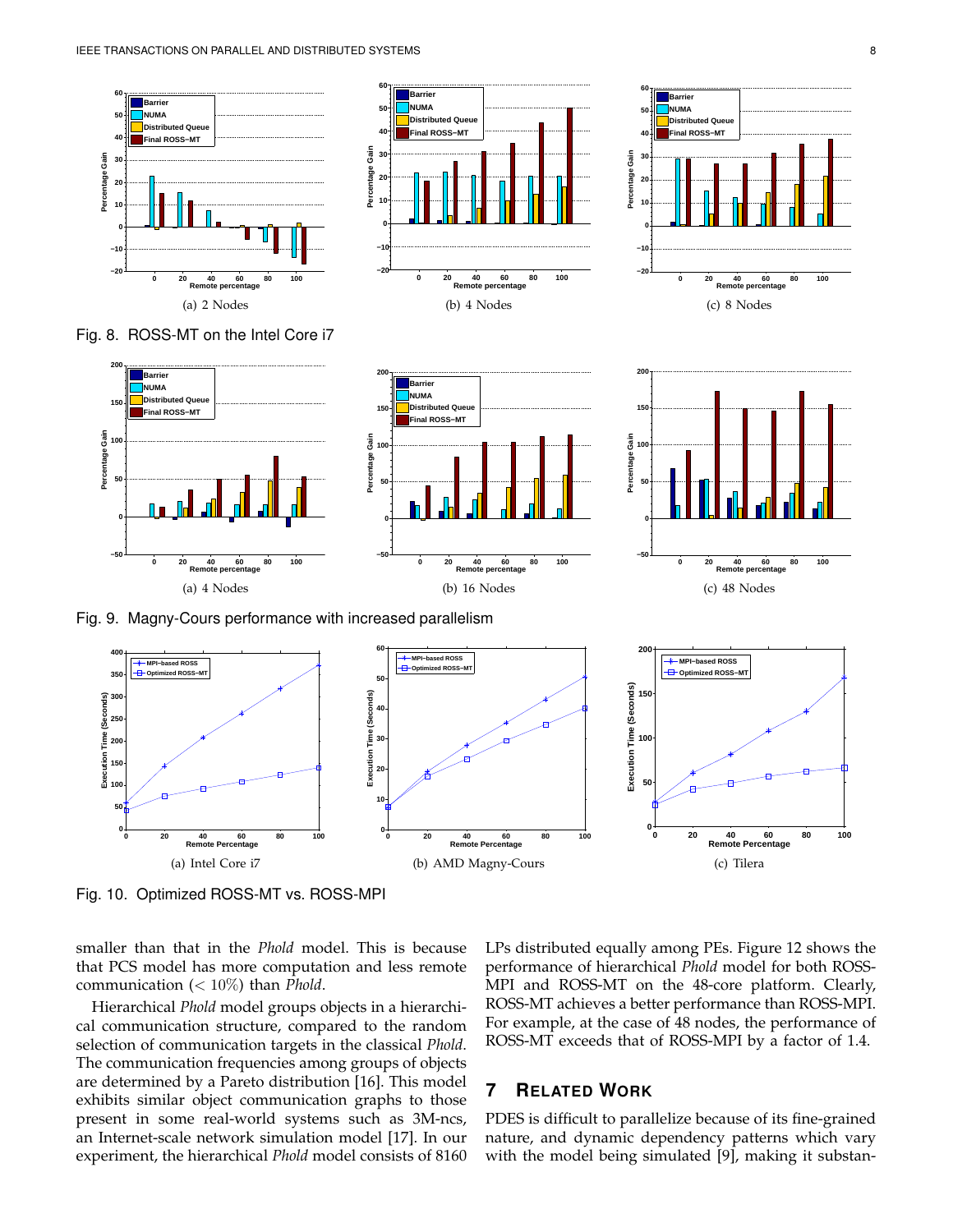



**0 20 40 60 80 100 Remote percentage −20 −10 0 10 20 30 40 50 60 Percentage Gain Barrier NUMA Distributed Q Final ROSS−MT** (c) 8 Nodes **200**



Fig. 8. ROSS-MT on the Intel Core i7



**0 20 40 60 80 100 Remote percentage**

(a) 4 Nodes

**−50**

**0**

**50**

**100**

**Percentage Gain**

**150**

**200**

**Barrier NUMA Distributed Que Final ROSS−MT**



**0 20 40 60 80 100 Remote percentage**

(b) 16 Nodes

**−50**

**0**

**50 100 Percentage Gain**

**150**

**200 Barrier NUMA Distributed Quet Final ROSS−MT**

Fig. 10. Optimized ROSS-MT vs. ROSS-MPI

smaller than that in the *Phold* model. This is because that PCS model has more computation and less remote communication (< 10%) than *Phold*.

Hierarchical *Phold* model groups objects in a hierarchical communication structure, compared to the random selection of communication targets in the classical *Phold*. The communication frequencies among groups of objects are determined by a Pareto distribution [16]. This model exhibits similar object communication graphs to those present in some real-world systems such as 3M-ncs, an Internet-scale network simulation model [17]. In our experiment, the hierarchical *Phold* model consists of 8160 LPs distributed equally among PEs. Figure 12 shows the performance of hierarchical *Phold* model for both ROSS-MPI and ROSS-MT on the 48-core platform. Clearly, ROSS-MT achieves a better performance than ROSS-MPI. For example, at the case of 48 nodes, the performance of ROSS-MT exceeds that of ROSS-MPI by a factor of 1.4.

## **7 RELATED WORK**

PDES is difficult to parallelize because of its fine-grained nature, and dynamic dependency patterns which vary with the model being simulated [9], making it substan-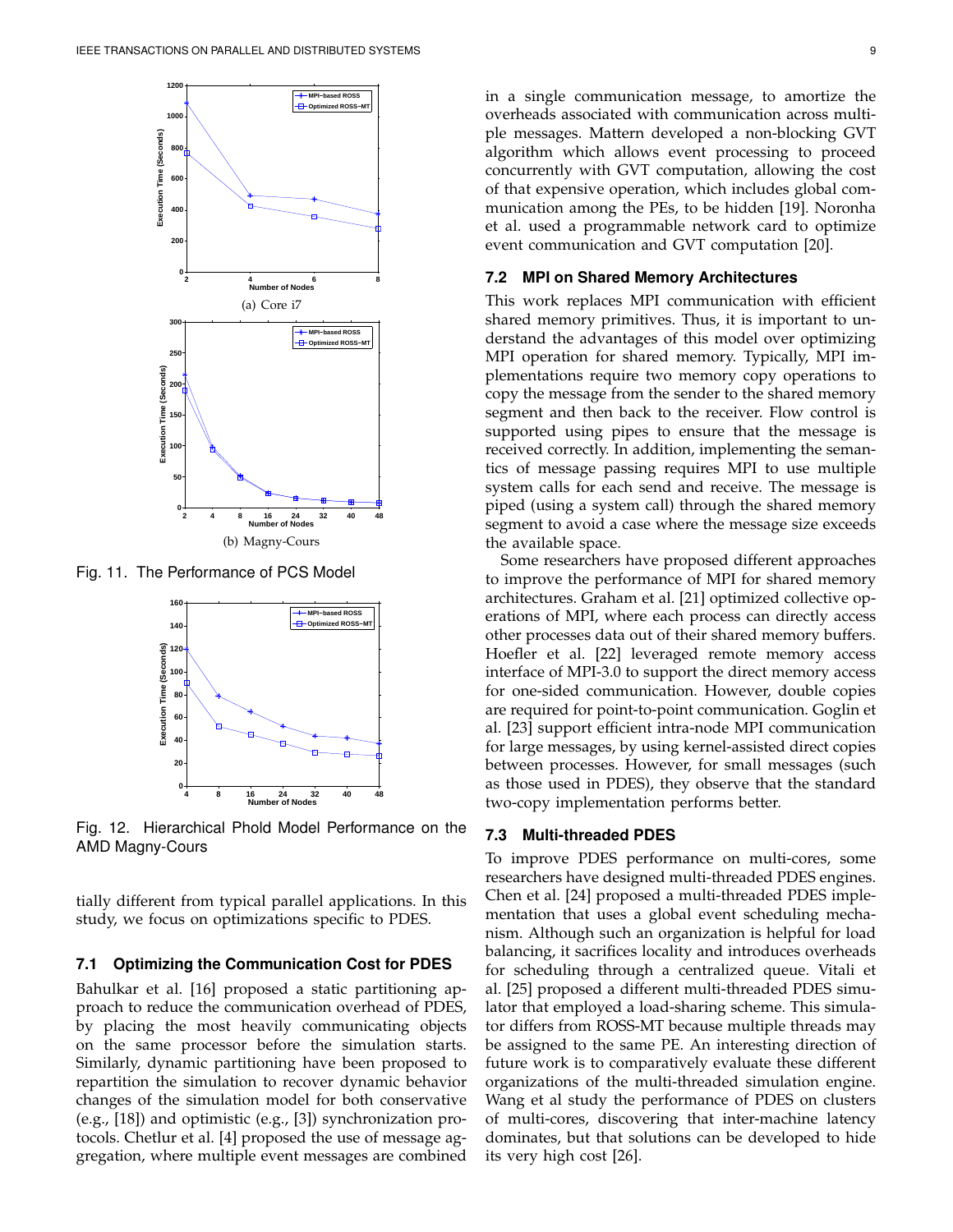

Fig. 11. The Performance of PCS Model



Fig. 12. Hierarchical Phold Model Performance on the AMD Magny-Cours

tially different from typical parallel applications. In this study, we focus on optimizations specific to PDES.

#### **7.1 Optimizing the Communication Cost for PDES**

Bahulkar et al. [16] proposed a static partitioning approach to reduce the communication overhead of PDES, by placing the most heavily communicating objects on the same processor before the simulation starts. Similarly, dynamic partitioning have been proposed to repartition the simulation to recover dynamic behavior changes of the simulation model for both conservative (e.g., [18]) and optimistic (e.g., [3]) synchronization protocols. Chetlur et al. [4] proposed the use of message aggregation, where multiple event messages are combined in a single communication message, to amortize the overheads associated with communication across multiple messages. Mattern developed a non-blocking GVT algorithm which allows event processing to proceed concurrently with GVT computation, allowing the cost of that expensive operation, which includes global communication among the PEs, to be hidden [19]. Noronha et al. used a programmable network card to optimize event communication and GVT computation [20].

## **7.2 MPI on Shared Memory Architectures**

This work replaces MPI communication with efficient shared memory primitives. Thus, it is important to understand the advantages of this model over optimizing MPI operation for shared memory. Typically, MPI implementations require two memory copy operations to copy the message from the sender to the shared memory segment and then back to the receiver. Flow control is supported using pipes to ensure that the message is received correctly. In addition, implementing the semantics of message passing requires MPI to use multiple system calls for each send and receive. The message is piped (using a system call) through the shared memory segment to avoid a case where the message size exceeds the available space.

Some researchers have proposed different approaches to improve the performance of MPI for shared memory architectures. Graham et al. [21] optimized collective operations of MPI, where each process can directly access other processes data out of their shared memory buffers. Hoefler et al. [22] leveraged remote memory access interface of MPI-3.0 to support the direct memory access for one-sided communication. However, double copies are required for point-to-point communication. Goglin et al. [23] support efficient intra-node MPI communication for large messages, by using kernel-assisted direct copies between processes. However, for small messages (such as those used in PDES), they observe that the standard two-copy implementation performs better.

#### **7.3 Multi-threaded PDES**

To improve PDES performance on multi-cores, some researchers have designed multi-threaded PDES engines. Chen et al. [24] proposed a multi-threaded PDES implementation that uses a global event scheduling mechanism. Although such an organization is helpful for load balancing, it sacrifices locality and introduces overheads for scheduling through a centralized queue. Vitali et al. [25] proposed a different multi-threaded PDES simulator that employed a load-sharing scheme. This simulator differs from ROSS-MT because multiple threads may be assigned to the same PE. An interesting direction of future work is to comparatively evaluate these different organizations of the multi-threaded simulation engine. Wang et al study the performance of PDES on clusters of multi-cores, discovering that inter-machine latency dominates, but that solutions can be developed to hide its very high cost [26].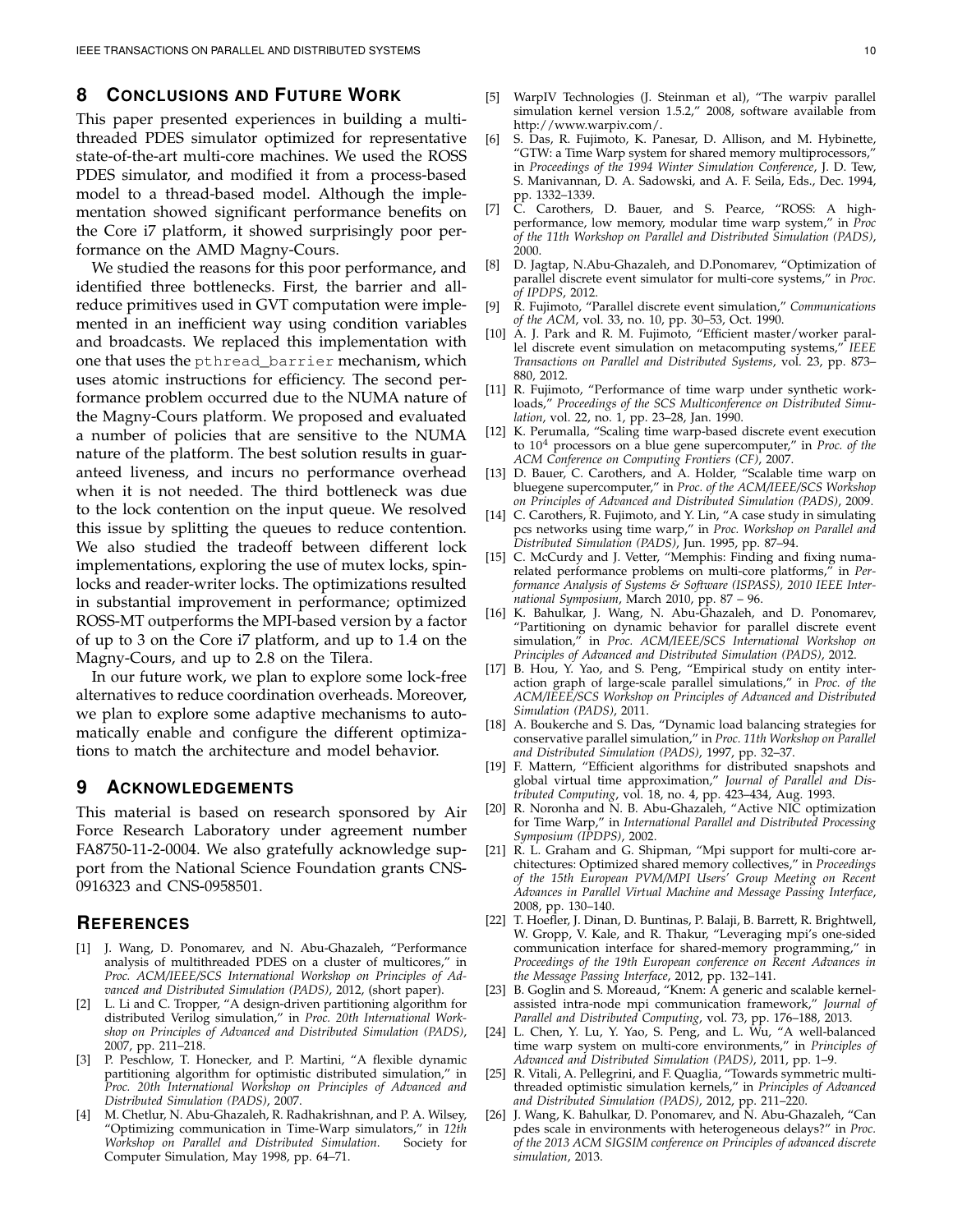## **8 CONCLUSIONS AND FUTURE WORK**

This paper presented experiences in building a multithreaded PDES simulator optimized for representative state-of-the-art multi-core machines. We used the ROSS PDES simulator, and modified it from a process-based model to a thread-based model. Although the implementation showed significant performance benefits on the Core i7 platform, it showed surprisingly poor performance on the AMD Magny-Cours.

We studied the reasons for this poor performance, and identified three bottlenecks. First, the barrier and allreduce primitives used in GVT computation were implemented in an inefficient way using condition variables and broadcasts. We replaced this implementation with one that uses the pthread\_barrier mechanism, which uses atomic instructions for efficiency. The second performance problem occurred due to the NUMA nature of the Magny-Cours platform. We proposed and evaluated a number of policies that are sensitive to the NUMA nature of the platform. The best solution results in guaranteed liveness, and incurs no performance overhead when it is not needed. The third bottleneck was due to the lock contention on the input queue. We resolved this issue by splitting the queues to reduce contention. We also studied the tradeoff between different lock implementations, exploring the use of mutex locks, spinlocks and reader-writer locks. The optimizations resulted in substantial improvement in performance; optimized ROSS-MT outperforms the MPI-based version by a factor of up to 3 on the Core i7 platform, and up to 1.4 on the Magny-Cours, and up to 2.8 on the Tilera.

In our future work, we plan to explore some lock-free alternatives to reduce coordination overheads. Moreover, we plan to explore some adaptive mechanisms to automatically enable and configure the different optimizations to match the architecture and model behavior.

## **9 ACKNOWLEDGEMENTS**

This material is based on research sponsored by Air Force Research Laboratory under agreement number FA8750-11-2-0004. We also gratefully acknowledge support from the National Science Foundation grants CNS-0916323 and CNS-0958501.

#### **REFERENCES**

- [1] J. Wang, D. Ponomarev, and N. Abu-Ghazaleh, "Performance analysis of multithreaded PDES on a cluster of multicores," in *Proc. ACM/IEEE/SCS International Workshop on Principles of Advanced and Distributed Simulation (PADS)*, 2012, (short paper).
- [2] L. Li and C. Tropper, "A design-driven partitioning algorithm for distributed Verilog simulation," in *Proc. 20th International Workshop on Principles of Advanced and Distributed Simulation (PADS)*, 2007, pp. 211–218.
- [3] P. Peschlow, T. Honecker, and P. Martini, "A flexible dynamic partitioning algorithm for optimistic distributed simulation," in *Proc. 20th International Workshop on Principles of Advanced and Distributed Simulation (PADS)*, 2007.
- [4] M. Chetlur, N. Abu-Ghazaleh, R. Radhakrishnan, and P. A. Wilsey, "Optimizing communication in Time-Warp simulators," in *12th*  $Workshop$  on Parallel and Distributed Simulation. Computer Simulation, May 1998, pp. 64–71.
- [5] WarpIV Technologies (J. Steinman et al), "The warpiv parallel simulation kernel version 1.5.2," 2008, software available from http://www.warpiv.com/.
- [6] S. Das, R. Fujimoto, K. Panesar, D. Allison, and M. Hybinette, "GTW: a Time Warp system for shared memory multiprocessors," in *Proceedings of the 1994 Winter Simulation Conference*, J. D. Tew, S. Manivannan, D. A. Sadowski, and A. F. Seila, Eds., Dec. 1994, pp. 1332–1339.
- [7] C. Carothers, D. Bauer, and S. Pearce, "ROSS: A highperformance, low memory, modular time warp system," in *Proc of the 11th Workshop on Parallel and Distributed Simulation (PADS)*, 2000.
- [8] D. Jagtap, N.Abu-Ghazaleh, and D.Ponomarev, "Optimization of parallel discrete event simulator for multi-core systems," in *Proc. of IPDPS*, 2012.
- [9] R. Fujimoto, "Parallel discrete event simulation," *Communications of the ACM*, vol. 33, no. 10, pp. 30–53, Oct. 1990.
- [10] A. J. Park and R. M. Fujimoto, "Efficient master/worker parallel discrete event simulation on metacomputing systems," *IEEE Transactions on Parallel and Distributed Systems*, vol. 23, pp. 873– 880, 2012.
- [11] R. Fujimoto, "Performance of time warp under synthetic workloads," *Proceedings of the SCS Multiconference on Distributed Simulation*, vol. 22, no. 1, pp. 23–28, Jan. 1990.
- [12] K. Perumalla, "Scaling time warp-based discrete event execution to 10<sup>4</sup> processors on a blue gene supercomputer," in *Proc. of the ACM Conference on Computing Frontiers (CF)*, 2007.
- [13] D. Bauer, C. Carothers, and A. Holder, "Scalable time warp on bluegene supercomputer," in *Proc. of the ACM/IEEE/SCS Workshop on Principles of Advanced and Distributed Simulation (PADS)*, 2009.
- [14] C. Carothers, R. Fujimoto, and Y. Lin, "A case study in simulating pcs networks using time warp," in *Proc. Workshop on Parallel and Distributed Simulation (PADS)*, Jun. 1995, pp. 87–94.
- [15] C. McCurdy and J. Vetter, "Memphis: Finding and fixing numarelated performance problems on multi-core platforms," in *Performance Analysis of Systems & Software (ISPASS), 2010 IEEE International Symposium*, March 2010, pp. 87 – 96.
- [16] K. Bahulkar, J. Wang, N. Abu-Ghazaleh, and D. Ponomarev, "Partitioning on dynamic behavior for parallel discrete event simulation," in *Proc. ACM/IEEE/SCS International Workshop on Principles of Advanced and Distributed Simulation (PADS)*, 2012.
- [17] B. Hou, Y. Yao, and S. Peng, "Empirical study on entity interaction graph of large-scale parallel simulations," in *Proc. of the ACM/IEEE/SCS Workshop on Principles of Advanced and Distributed Simulation (PADS)*, 2011.
- [18] A. Boukerche and S. Das, "Dynamic load balancing strategies for conservative parallel simulation," in *Proc. 11th Workshop on Parallel and Distributed Simulation (PADS)*, 1997, pp. 32–37.
- [19] F. Mattern, "Efficient algorithms for distributed snapshots and global virtual time approximation," *Journal of Parallel and Distributed Computing*, vol. 18, no. 4, pp. 423–434, Aug. 1993.
- [20] R. Noronha and N. B. Abu-Ghazaleh, "Active NIC optimization for Time Warp," in *International Parallel and Distributed Processing Symposium (IPDPS)*, 2002.
- [21] R. L. Graham and G. Shipman, "Mpi support for multi-core architectures: Optimized shared memory collectives," in *Proceedings of the 15th European PVM/MPI Users' Group Meeting on Recent Advances in Parallel Virtual Machine and Message Passing Interface*, 2008, pp. 130–140.
- [22] T. Hoefler, J. Dinan, D. Buntinas, P. Balaji, B. Barrett, R. Brightwell, W. Gropp, V. Kale, and R. Thakur, "Leveraging mpi's one-sided communication interface for shared-memory programming," in *Proceedings of the 19th European conference on Recent Advances in the Message Passing Interface*, 2012, pp. 132–141.
- [23] B. Goglin and S. Moreaud, "Knem: A generic and scalable kernelassisted intra-node mpi communication framework," *Journal of Parallel and Distributed Computing*, vol. 73, pp. 176–188, 2013.
- [24] L. Chen, Y. Lu, Y. Yao, S. Peng, and L. Wu, "A well-balanced time warp system on multi-core environments," in *Principles of Advanced and Distributed Simulation (PADS)*, 2011, pp. 1–9.
- [25] R. Vitali, A. Pellegrini, and F. Quaglia, "Towards symmetric multithreaded optimistic simulation kernels," in *Principles of Advanced and Distributed Simulation (PADS)*, 2012, pp. 211–220.
- J. Wang, K. Bahulkar, D. Ponomarev, and N. Abu-Ghazaleh, "Can pdes scale in environments with heterogeneous delays?" in *Proc. of the 2013 ACM SIGSIM conference on Principles of advanced discrete simulation*, 2013.